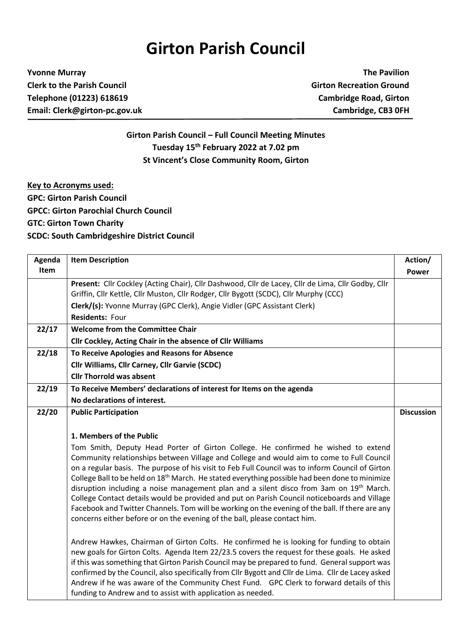## **Girton Parish Council**

**Yvonne Murray The Pavilion Clerk to the Parish Council Girton Recreation Ground Telephone (01223) 618619 Cambridge Road, Girton Email: Clerk@girton-pc.gov.uk Cambridge, CB3 0FH**

**Girton Parish Council – Full Council Meeting Minutes Tuesday 15 th February 2022 at 7.02 pm St Vincent's Close Community Room, Girton**

**Key to Acronyms used: GPC: Girton Parish Council GPCC: Girton Parochial Church Council GTC: Girton Town Charity SCDC: South Cambridgeshire District Council**

| Agenda | <b>Item Description</b>                                                                                                                                                                                                                                                                                                                                                                                                                                                                                                                                                                                                                                                                                                                                                     | Action/           |
|--------|-----------------------------------------------------------------------------------------------------------------------------------------------------------------------------------------------------------------------------------------------------------------------------------------------------------------------------------------------------------------------------------------------------------------------------------------------------------------------------------------------------------------------------------------------------------------------------------------------------------------------------------------------------------------------------------------------------------------------------------------------------------------------------|-------------------|
| Item   |                                                                                                                                                                                                                                                                                                                                                                                                                                                                                                                                                                                                                                                                                                                                                                             | <b>Power</b>      |
|        | Present: Cllr Cockley (Acting Chair), Cllr Dashwood, Cllr de Lacey, Cllr de Lima, Cllr Godby, Cllr<br>Griffin, Cllr Kettle, Cllr Muston, Cllr Rodger, Cllr Bygott (SCDC), Cllr Murphy (CCC)                                                                                                                                                                                                                                                                                                                                                                                                                                                                                                                                                                                 |                   |
|        | Clerk/(s): Yvonne Murray (GPC Clerk), Angie Vidler (GPC Assistant Clerk)                                                                                                                                                                                                                                                                                                                                                                                                                                                                                                                                                                                                                                                                                                    |                   |
|        | <b>Residents: Four</b>                                                                                                                                                                                                                                                                                                                                                                                                                                                                                                                                                                                                                                                                                                                                                      |                   |
| 22/17  | <b>Welcome from the Committee Chair</b>                                                                                                                                                                                                                                                                                                                                                                                                                                                                                                                                                                                                                                                                                                                                     |                   |
|        | Cllr Cockley, Acting Chair in the absence of Cllr Williams                                                                                                                                                                                                                                                                                                                                                                                                                                                                                                                                                                                                                                                                                                                  |                   |
| 22/18  | To Receive Apologies and Reasons for Absence                                                                                                                                                                                                                                                                                                                                                                                                                                                                                                                                                                                                                                                                                                                                |                   |
|        | Cllr Williams, Cllr Carney, Cllr Garvie (SCDC)                                                                                                                                                                                                                                                                                                                                                                                                                                                                                                                                                                                                                                                                                                                              |                   |
|        | <b>Cllr Thorrold was absent</b>                                                                                                                                                                                                                                                                                                                                                                                                                                                                                                                                                                                                                                                                                                                                             |                   |
| 22/19  | To Receive Members' declarations of interest for Items on the agenda                                                                                                                                                                                                                                                                                                                                                                                                                                                                                                                                                                                                                                                                                                        |                   |
|        | No declarations of interest.                                                                                                                                                                                                                                                                                                                                                                                                                                                                                                                                                                                                                                                                                                                                                |                   |
| 22/20  | <b>Public Participation</b>                                                                                                                                                                                                                                                                                                                                                                                                                                                                                                                                                                                                                                                                                                                                                 | <b>Discussion</b> |
|        |                                                                                                                                                                                                                                                                                                                                                                                                                                                                                                                                                                                                                                                                                                                                                                             |                   |
|        | 1. Members of the Public                                                                                                                                                                                                                                                                                                                                                                                                                                                                                                                                                                                                                                                                                                                                                    |                   |
|        | Tom Smith, Deputy Head Porter of Girton College. He confirmed he wished to extend<br>Community relationships between Village and College and would aim to come to Full Council<br>on a regular basis. The purpose of his visit to Feb Full Council was to inform Council of Girton<br>College Ball to be held on 18 <sup>th</sup> March. He stated everything possible had been done to minimize<br>disruption including a noise management plan and a silent disco from 3am on 19th March.<br>College Contact details would be provided and put on Parish Council noticeboards and Village<br>Facebook and Twitter Channels. Tom will be working on the evening of the ball. If there are any<br>concerns either before or on the evening of the ball, please contact him. |                   |
|        | Andrew Hawkes, Chairman of Girton Colts. He confirmed he is looking for funding to obtain<br>new goals for Girton Colts. Agenda Item 22/23.5 covers the request for these goals. He asked<br>if this was something that Girton Parish Council may be prepared to fund. General support was<br>confirmed by the Council, also specifically from Cllr Bygott and Cllr de Lima. Cllr de Lacey asked<br>Andrew if he was aware of the Community Chest Fund. GPC Clerk to forward details of this<br>funding to Andrew and to assist with application as needed.                                                                                                                                                                                                                 |                   |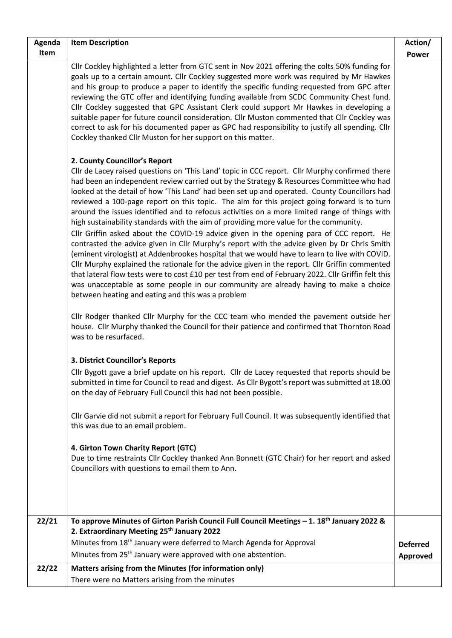| Agenda | <b>Item Description</b>                                                                                                                                                                                                                                                                                                                                                                                                                                                                                                                                                                                                                                                                                                                                                                                                                                                                                                                                                                                                                                                                                                                                                                                                                                                                                                                                        | Action/         |
|--------|----------------------------------------------------------------------------------------------------------------------------------------------------------------------------------------------------------------------------------------------------------------------------------------------------------------------------------------------------------------------------------------------------------------------------------------------------------------------------------------------------------------------------------------------------------------------------------------------------------------------------------------------------------------------------------------------------------------------------------------------------------------------------------------------------------------------------------------------------------------------------------------------------------------------------------------------------------------------------------------------------------------------------------------------------------------------------------------------------------------------------------------------------------------------------------------------------------------------------------------------------------------------------------------------------------------------------------------------------------------|-----------------|
| Item   |                                                                                                                                                                                                                                                                                                                                                                                                                                                                                                                                                                                                                                                                                                                                                                                                                                                                                                                                                                                                                                                                                                                                                                                                                                                                                                                                                                | <b>Power</b>    |
|        | Cllr Cockley highlighted a letter from GTC sent in Nov 2021 offering the colts 50% funding for<br>goals up to a certain amount. Cllr Cockley suggested more work was required by Mr Hawkes<br>and his group to produce a paper to identify the specific funding requested from GPC after<br>reviewing the GTC offer and identifying funding available from SCDC Community Chest fund.<br>Cllr Cockley suggested that GPC Assistant Clerk could support Mr Hawkes in developing a<br>suitable paper for future council consideration. Cllr Muston commented that Cllr Cockley was<br>correct to ask for his documented paper as GPC had responsibility to justify all spending. Cllr<br>Cockley thanked Cllr Muston for her support on this matter.                                                                                                                                                                                                                                                                                                                                                                                                                                                                                                                                                                                                             |                 |
|        | 2. County Councillor's Report<br>Cllr de Lacey raised questions on 'This Land' topic in CCC report. Cllr Murphy confirmed there<br>had been an independent review carried out by the Strategy & Resources Committee who had<br>looked at the detail of how 'This Land' had been set up and operated. County Councillors had<br>reviewed a 100-page report on this topic. The aim for this project going forward is to turn<br>around the issues identified and to refocus activities on a more limited range of things with<br>high sustainability standards with the aim of providing more value for the community.<br>Cllr Griffin asked about the COVID-19 advice given in the opening para of CCC report. He<br>contrasted the advice given in Cllr Murphy's report with the advice given by Dr Chris Smith<br>(eminent virologist) at Addenbrookes hospital that we would have to learn to live with COVID.<br>Cllr Murphy explained the rationale for the advice given in the report. Cllr Griffin commented<br>that lateral flow tests were to cost £10 per test from end of February 2022. Cllr Griffin felt this<br>was unacceptable as some people in our community are already having to make a choice<br>between heating and eating and this was a problem<br>Cllr Rodger thanked Cllr Murphy for the CCC team who mended the pavement outside her |                 |
|        | house. Cllr Murphy thanked the Council for their patience and confirmed that Thornton Road<br>was to be resurfaced.<br>3. District Councillor's Reports<br>Cllr Bygott gave a brief update on his report. Cllr de Lacey requested that reports should be<br>submitted in time for Council to read and digest. As Cllr Bygott's report was submitted at 18.00<br>on the day of February Full Council this had not been possible.                                                                                                                                                                                                                                                                                                                                                                                                                                                                                                                                                                                                                                                                                                                                                                                                                                                                                                                                |                 |
|        | Cllr Garvie did not submit a report for February Full Council. It was subsequently identified that<br>this was due to an email problem.                                                                                                                                                                                                                                                                                                                                                                                                                                                                                                                                                                                                                                                                                                                                                                                                                                                                                                                                                                                                                                                                                                                                                                                                                        |                 |
|        | 4. Girton Town Charity Report (GTC)<br>Due to time restraints Cllr Cockley thanked Ann Bonnett (GTC Chair) for her report and asked<br>Councillors with questions to email them to Ann.                                                                                                                                                                                                                                                                                                                                                                                                                                                                                                                                                                                                                                                                                                                                                                                                                                                                                                                                                                                                                                                                                                                                                                        |                 |
| 22/21  | To approve Minutes of Girton Parish Council Full Council Meetings $-1$ . 18 <sup>th</sup> January 2022 &<br>2. Extraordinary Meeting 25th January 2022                                                                                                                                                                                                                                                                                                                                                                                                                                                                                                                                                                                                                                                                                                                                                                                                                                                                                                                                                                                                                                                                                                                                                                                                         |                 |
|        | Minutes from 18 <sup>th</sup> January were deferred to March Agenda for Approval                                                                                                                                                                                                                                                                                                                                                                                                                                                                                                                                                                                                                                                                                                                                                                                                                                                                                                                                                                                                                                                                                                                                                                                                                                                                               | <b>Deferred</b> |
|        | Minutes from 25 <sup>th</sup> January were approved with one abstention.                                                                                                                                                                                                                                                                                                                                                                                                                                                                                                                                                                                                                                                                                                                                                                                                                                                                                                                                                                                                                                                                                                                                                                                                                                                                                       | Approved        |
| 22/22  | Matters arising from the Minutes (for information only)                                                                                                                                                                                                                                                                                                                                                                                                                                                                                                                                                                                                                                                                                                                                                                                                                                                                                                                                                                                                                                                                                                                                                                                                                                                                                                        |                 |
|        | There were no Matters arising from the minutes                                                                                                                                                                                                                                                                                                                                                                                                                                                                                                                                                                                                                                                                                                                                                                                                                                                                                                                                                                                                                                                                                                                                                                                                                                                                                                                 |                 |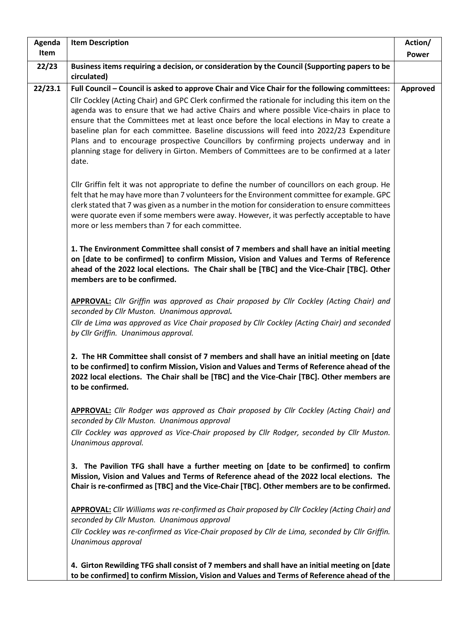| Agenda  | <b>Item Description</b>                                                                                                                                                                                                                                                                                                                                                                                                                                                                                                                                                                   | Action/      |
|---------|-------------------------------------------------------------------------------------------------------------------------------------------------------------------------------------------------------------------------------------------------------------------------------------------------------------------------------------------------------------------------------------------------------------------------------------------------------------------------------------------------------------------------------------------------------------------------------------------|--------------|
| Item    |                                                                                                                                                                                                                                                                                                                                                                                                                                                                                                                                                                                           | <b>Power</b> |
| 22/23   | Business items requiring a decision, or consideration by the Council (Supporting papers to be<br>circulated)                                                                                                                                                                                                                                                                                                                                                                                                                                                                              |              |
| 22/23.1 | Full Council - Council is asked to approve Chair and Vice Chair for the following committees:                                                                                                                                                                                                                                                                                                                                                                                                                                                                                             | Approved     |
|         | Cllr Cockley (Acting Chair) and GPC Clerk confirmed the rationale for including this item on the<br>agenda was to ensure that we had active Chairs and where possible Vice-chairs in place to<br>ensure that the Committees met at least once before the local elections in May to create a<br>baseline plan for each committee. Baseline discussions will feed into 2022/23 Expenditure<br>Plans and to encourage prospective Councillors by confirming projects underway and in<br>planning stage for delivery in Girton. Members of Committees are to be confirmed at a later<br>date. |              |
|         | Cllr Griffin felt it was not appropriate to define the number of councillors on each group. He<br>felt that he may have more than 7 volunteers for the Environment committee for example. GPC<br>clerk stated that 7 was given as a number in the motion for consideration to ensure committees<br>were quorate even if some members were away. However, it was perfectly acceptable to have<br>more or less members than 7 for each committee.                                                                                                                                           |              |
|         | 1. The Environment Committee shall consist of 7 members and shall have an initial meeting<br>on [date to be confirmed] to confirm Mission, Vision and Values and Terms of Reference<br>ahead of the 2022 local elections. The Chair shall be [TBC] and the Vice-Chair [TBC]. Other<br>members are to be confirmed.                                                                                                                                                                                                                                                                        |              |
|         | <b>APPROVAL:</b> Cllr Griffin was approved as Chair proposed by Cllr Cockley (Acting Chair) and<br>seconded by Cllr Muston. Unanimous approval.                                                                                                                                                                                                                                                                                                                                                                                                                                           |              |
|         | Cllr de Lima was approved as Vice Chair proposed by Cllr Cockley (Acting Chair) and seconded<br>by Cllr Griffin. Unanimous approval.                                                                                                                                                                                                                                                                                                                                                                                                                                                      |              |
|         | 2. The HR Committee shall consist of 7 members and shall have an initial meeting on [date<br>to be confirmed] to confirm Mission, Vision and Values and Terms of Reference ahead of the<br>2022 local elections. The Chair shall be [TBC] and the Vice-Chair [TBC]. Other members are<br>to be confirmed.                                                                                                                                                                                                                                                                                 |              |
|         | <b>APPROVAL:</b> Cllr Rodger was approved as Chair proposed by Cllr Cockley (Acting Chair) and<br>seconded by Cllr Muston. Unanimous approval                                                                                                                                                                                                                                                                                                                                                                                                                                             |              |
|         | Cllr Cockley was approved as Vice-Chair proposed by Cllr Rodger, seconded by Cllr Muston.<br>Unanimous approval.                                                                                                                                                                                                                                                                                                                                                                                                                                                                          |              |
|         | 3. The Pavilion TFG shall have a further meeting on [date to be confirmed] to confirm<br>Mission, Vision and Values and Terms of Reference ahead of the 2022 local elections. The<br>Chair is re-confirmed as [TBC] and the Vice-Chair [TBC]. Other members are to be confirmed.                                                                                                                                                                                                                                                                                                          |              |
|         | <b>APPROVAL:</b> Cllr Williams was re-confirmed as Chair proposed by Cllr Cockley (Acting Chair) and<br>seconded by Cllr Muston. Unanimous approval                                                                                                                                                                                                                                                                                                                                                                                                                                       |              |
|         | Cllr Cockley was re-confirmed as Vice-Chair proposed by Cllr de Lima, seconded by Cllr Griffin.<br>Unanimous approval                                                                                                                                                                                                                                                                                                                                                                                                                                                                     |              |
|         | 4. Girton Rewilding TFG shall consist of 7 members and shall have an initial meeting on [date<br>to be confirmed] to confirm Mission, Vision and Values and Terms of Reference ahead of the                                                                                                                                                                                                                                                                                                                                                                                               |              |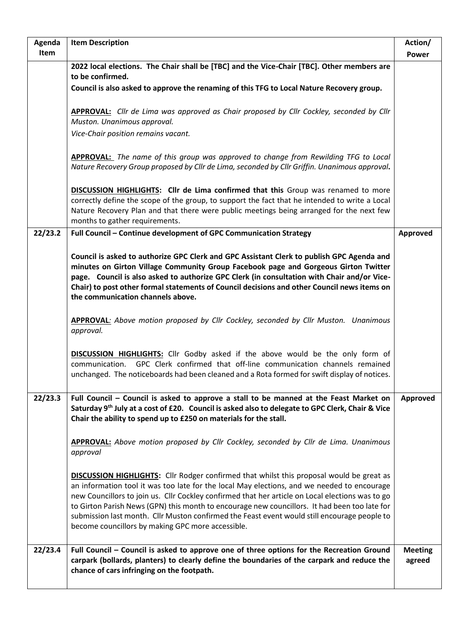| Agenda  | <b>Item Description</b>                                                                                                                                                                                                                                                                                                                                                                                                                                                                                                                                  | Action/                  |
|---------|----------------------------------------------------------------------------------------------------------------------------------------------------------------------------------------------------------------------------------------------------------------------------------------------------------------------------------------------------------------------------------------------------------------------------------------------------------------------------------------------------------------------------------------------------------|--------------------------|
| Item    |                                                                                                                                                                                                                                                                                                                                                                                                                                                                                                                                                          | <b>Power</b>             |
|         | 2022 local elections. The Chair shall be [TBC] and the Vice-Chair [TBC]. Other members are                                                                                                                                                                                                                                                                                                                                                                                                                                                               |                          |
|         | to be confirmed.                                                                                                                                                                                                                                                                                                                                                                                                                                                                                                                                         |                          |
|         | Council is also asked to approve the renaming of this TFG to Local Nature Recovery group.                                                                                                                                                                                                                                                                                                                                                                                                                                                                |                          |
|         |                                                                                                                                                                                                                                                                                                                                                                                                                                                                                                                                                          |                          |
|         | APPROVAL: Cllr de Lima was approved as Chair proposed by Cllr Cockley, seconded by Cllr                                                                                                                                                                                                                                                                                                                                                                                                                                                                  |                          |
|         | Muston. Unanimous approval.                                                                                                                                                                                                                                                                                                                                                                                                                                                                                                                              |                          |
|         | Vice-Chair position remains vacant.                                                                                                                                                                                                                                                                                                                                                                                                                                                                                                                      |                          |
|         |                                                                                                                                                                                                                                                                                                                                                                                                                                                                                                                                                          |                          |
|         | <b>APPROVAL:</b> The name of this group was approved to change from Rewilding TFG to Local<br>Nature Recovery Group proposed by Cllr de Lima, seconded by Cllr Griffin. Unanimous approval.                                                                                                                                                                                                                                                                                                                                                              |                          |
|         | DISCUSSION HIGHLIGHTS: Cllr de Lima confirmed that this Group was renamed to more<br>correctly define the scope of the group, to support the fact that he intended to write a Local<br>Nature Recovery Plan and that there were public meetings being arranged for the next few                                                                                                                                                                                                                                                                          |                          |
|         | months to gather requirements.                                                                                                                                                                                                                                                                                                                                                                                                                                                                                                                           |                          |
| 22/23.2 | Full Council - Continue development of GPC Communication Strategy                                                                                                                                                                                                                                                                                                                                                                                                                                                                                        | Approved                 |
|         | Council is asked to authorize GPC Clerk and GPC Assistant Clerk to publish GPC Agenda and<br>minutes on Girton Village Community Group Facebook page and Gorgeous Girton Twitter                                                                                                                                                                                                                                                                                                                                                                         |                          |
|         | page. Council is also asked to authorize GPC Clerk (in consultation with Chair and/or Vice-<br>Chair) to post other formal statements of Council decisions and other Council news items on<br>the communication channels above.                                                                                                                                                                                                                                                                                                                          |                          |
|         | <b>APPROVAL:</b> Above motion proposed by Cllr Cockley, seconded by Cllr Muston. Unanimous<br>approval.                                                                                                                                                                                                                                                                                                                                                                                                                                                  |                          |
|         | <b>DISCUSSION HIGHLIGHTS:</b> Cllr Godby asked if the above would be the only form of<br>GPC Clerk confirmed that off-line communication channels remained<br>communication.<br>unchanged. The noticeboards had been cleaned and a Rota formed for swift display of notices.                                                                                                                                                                                                                                                                             |                          |
| 22/23.3 | Full Council - Council is asked to approve a stall to be manned at the Feast Market on<br>Saturday 9th July at a cost of £20. Council is asked also to delegate to GPC Clerk, Chair & Vice<br>Chair the ability to spend up to £250 on materials for the stall.                                                                                                                                                                                                                                                                                          | <b>Approved</b>          |
|         | APPROVAL: Above motion proposed by Cllr Cockley, seconded by Cllr de Lima. Unanimous<br>approval                                                                                                                                                                                                                                                                                                                                                                                                                                                         |                          |
|         | <b>DISCUSSION HIGHLIGHTS:</b> Cllr Rodger confirmed that whilst this proposal would be great as<br>an information tool it was too late for the local May elections, and we needed to encourage<br>new Councillors to join us. Cllr Cockley confirmed that her article on Local elections was to go<br>to Girton Parish News (GPN) this month to encourage new councillors. It had been too late for<br>submission last month. Cllr Muston confirmed the Feast event would still encourage people to<br>become councillors by making GPC more accessible. |                          |
| 22/23.4 | Full Council – Council is asked to approve one of three options for the Recreation Ground<br>carpark (bollards, planters) to clearly define the boundaries of the carpark and reduce the<br>chance of cars infringing on the footpath.                                                                                                                                                                                                                                                                                                                   | <b>Meeting</b><br>agreed |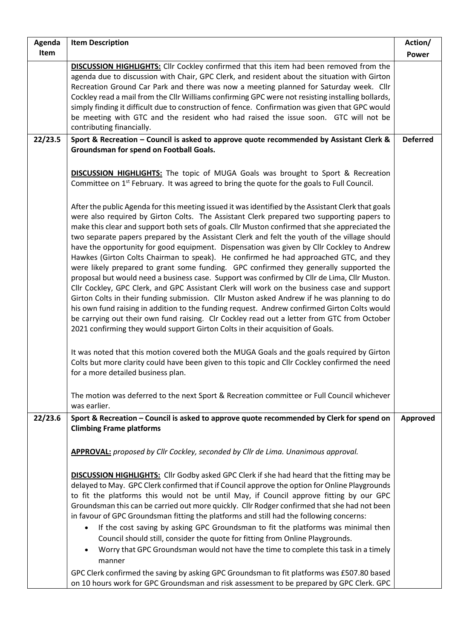| Agenda  | <b>Item Description</b>                                                                                                                                                                                                                                                                                                                                                                                                                                                                                                                                                                                                                                                                                                                                                                                                                                                                                                                                                                                                                                                                                                                                                                                                                                                                                                                                                                                                                                                                                                                                                                                                                                                                                           | Action/         |
|---------|-------------------------------------------------------------------------------------------------------------------------------------------------------------------------------------------------------------------------------------------------------------------------------------------------------------------------------------------------------------------------------------------------------------------------------------------------------------------------------------------------------------------------------------------------------------------------------------------------------------------------------------------------------------------------------------------------------------------------------------------------------------------------------------------------------------------------------------------------------------------------------------------------------------------------------------------------------------------------------------------------------------------------------------------------------------------------------------------------------------------------------------------------------------------------------------------------------------------------------------------------------------------------------------------------------------------------------------------------------------------------------------------------------------------------------------------------------------------------------------------------------------------------------------------------------------------------------------------------------------------------------------------------------------------------------------------------------------------|-----------------|
| Item    |                                                                                                                                                                                                                                                                                                                                                                                                                                                                                                                                                                                                                                                                                                                                                                                                                                                                                                                                                                                                                                                                                                                                                                                                                                                                                                                                                                                                                                                                                                                                                                                                                                                                                                                   | <b>Power</b>    |
|         | <b>DISCUSSION HIGHLIGHTS:</b> Cllr Cockley confirmed that this item had been removed from the<br>agenda due to discussion with Chair, GPC Clerk, and resident about the situation with Girton<br>Recreation Ground Car Park and there was now a meeting planned for Saturday week. Cllr<br>Cockley read a mail from the Cllr Williams confirming GPC were not resisting installing bollards,<br>simply finding it difficult due to construction of fence. Confirmation was given that GPC would<br>be meeting with GTC and the resident who had raised the issue soon. GTC will not be<br>contributing financially.                                                                                                                                                                                                                                                                                                                                                                                                                                                                                                                                                                                                                                                                                                                                                                                                                                                                                                                                                                                                                                                                                               |                 |
| 22/23.5 | Sport & Recreation - Council is asked to approve quote recommended by Assistant Clerk &                                                                                                                                                                                                                                                                                                                                                                                                                                                                                                                                                                                                                                                                                                                                                                                                                                                                                                                                                                                                                                                                                                                                                                                                                                                                                                                                                                                                                                                                                                                                                                                                                           | <b>Deferred</b> |
|         | Groundsman for spend on Football Goals.<br><b>DISCUSSION HIGHLIGHTS:</b> The topic of MUGA Goals was brought to Sport & Recreation<br>Committee on 1 <sup>st</sup> February. It was agreed to bring the quote for the goals to Full Council.<br>After the public Agenda for this meeting issued it was identified by the Assistant Clerk that goals<br>were also required by Girton Colts. The Assistant Clerk prepared two supporting papers to<br>make this clear and support both sets of goals. Cllr Muston confirmed that she appreciated the<br>two separate papers prepared by the Assistant Clerk and felt the youth of the village should<br>have the opportunity for good equipment. Dispensation was given by Cllr Cockley to Andrew<br>Hawkes (Girton Colts Chairman to speak). He confirmed he had approached GTC, and they<br>were likely prepared to grant some funding. GPC confirmed they generally supported the<br>proposal but would need a business case. Support was confirmed by ClIr de Lima, ClIr Muston.<br>Cllr Cockley, GPC Clerk, and GPC Assistant Clerk will work on the business case and support<br>Girton Colts in their funding submission. Cllr Muston asked Andrew if he was planning to do<br>his own fund raising in addition to the funding request. Andrew confirmed Girton Colts would<br>be carrying out their own fund raising. Clr Cockley read out a letter from GTC from October<br>2021 confirming they would support Girton Colts in their acquisition of Goals.<br>It was noted that this motion covered both the MUGA Goals and the goals required by Girton<br>Colts but more clarity could have been given to this topic and Cllr Cockley confirmed the need |                 |
|         | for a more detailed business plan.<br>The motion was deferred to the next Sport & Recreation committee or Full Council whichever                                                                                                                                                                                                                                                                                                                                                                                                                                                                                                                                                                                                                                                                                                                                                                                                                                                                                                                                                                                                                                                                                                                                                                                                                                                                                                                                                                                                                                                                                                                                                                                  |                 |
|         | was earlier.                                                                                                                                                                                                                                                                                                                                                                                                                                                                                                                                                                                                                                                                                                                                                                                                                                                                                                                                                                                                                                                                                                                                                                                                                                                                                                                                                                                                                                                                                                                                                                                                                                                                                                      |                 |
| 22/23.6 | Sport & Recreation - Council is asked to approve quote recommended by Clerk for spend on<br><b>Climbing Frame platforms</b><br>APPROVAL: proposed by Cllr Cockley, seconded by Cllr de Lima. Unanimous approval.<br><b>DISCUSSION HIGHLIGHTS:</b> Cllr Godby asked GPC Clerk if she had heard that the fitting may be                                                                                                                                                                                                                                                                                                                                                                                                                                                                                                                                                                                                                                                                                                                                                                                                                                                                                                                                                                                                                                                                                                                                                                                                                                                                                                                                                                                             | Approved        |
|         | delayed to May. GPC Clerk confirmed that if Council approve the option for Online Playgrounds<br>to fit the platforms this would not be until May, if Council approve fitting by our GPC<br>Groundsman this can be carried out more quickly. Cllr Rodger confirmed that she had not been<br>in favour of GPC Groundsman fitting the platforms and still had the following concerns:<br>If the cost saving by asking GPC Groundsman to fit the platforms was minimal then<br>$\bullet$<br>Council should still, consider the quote for fitting from Online Playgrounds.<br>Worry that GPC Groundsman would not have the time to complete this task in a timely<br>manner<br>GPC Clerk confirmed the saving by asking GPC Groundsman to fit platforms was £507.80 based<br>on 10 hours work for GPC Groundsman and risk assessment to be prepared by GPC Clerk. GPC                                                                                                                                                                                                                                                                                                                                                                                                                                                                                                                                                                                                                                                                                                                                                                                                                                                 |                 |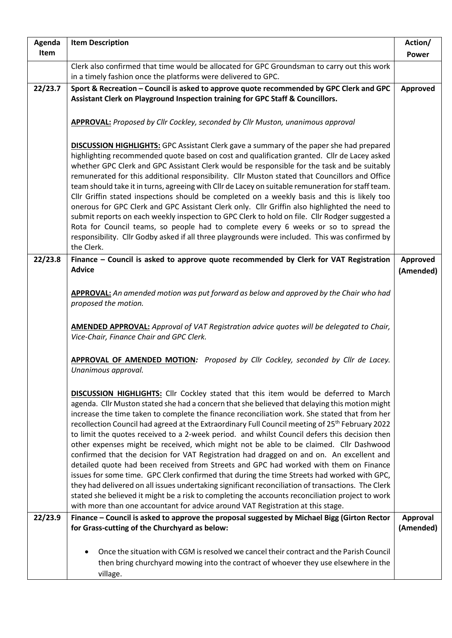| Agenda  | <b>Item Description</b>                                                                                                                                                                                                                                                                                                                                                                                                                                                                                                                                                                                                                                                                                                                                                                                                                                                                                                                                                                                                                                                                                                                                                                   | Action/                      |
|---------|-------------------------------------------------------------------------------------------------------------------------------------------------------------------------------------------------------------------------------------------------------------------------------------------------------------------------------------------------------------------------------------------------------------------------------------------------------------------------------------------------------------------------------------------------------------------------------------------------------------------------------------------------------------------------------------------------------------------------------------------------------------------------------------------------------------------------------------------------------------------------------------------------------------------------------------------------------------------------------------------------------------------------------------------------------------------------------------------------------------------------------------------------------------------------------------------|------------------------------|
| Item    |                                                                                                                                                                                                                                                                                                                                                                                                                                                                                                                                                                                                                                                                                                                                                                                                                                                                                                                                                                                                                                                                                                                                                                                           | <b>Power</b>                 |
|         | Clerk also confirmed that time would be allocated for GPC Groundsman to carry out this work<br>in a timely fashion once the platforms were delivered to GPC.                                                                                                                                                                                                                                                                                                                                                                                                                                                                                                                                                                                                                                                                                                                                                                                                                                                                                                                                                                                                                              |                              |
| 22/23.7 | Sport & Recreation - Council is asked to approve quote recommended by GPC Clerk and GPC<br>Assistant Clerk on Playground Inspection training for GPC Staff & Councillors.                                                                                                                                                                                                                                                                                                                                                                                                                                                                                                                                                                                                                                                                                                                                                                                                                                                                                                                                                                                                                 | Approved                     |
|         | APPROVAL: Proposed by Cllr Cockley, seconded by Cllr Muston, unanimous approval                                                                                                                                                                                                                                                                                                                                                                                                                                                                                                                                                                                                                                                                                                                                                                                                                                                                                                                                                                                                                                                                                                           |                              |
|         | <b>DISCUSSION HIGHLIGHTS:</b> GPC Assistant Clerk gave a summary of the paper she had prepared<br>highlighting recommended quote based on cost and qualification granted. Cllr de Lacey asked<br>whether GPC Clerk and GPC Assistant Clerk would be responsible for the task and be suitably<br>remunerated for this additional responsibility. Cllr Muston stated that Councillors and Office<br>team should take it in turns, agreeing with Cllr de Lacey on suitable remuneration for staff team.<br>Cllr Griffin stated inspections should be completed on a weekly basis and this is likely too<br>onerous for GPC Clerk and GPC Assistant Clerk only. Cllr Griffin also highlighted the need to<br>submit reports on each weekly inspection to GPC Clerk to hold on file. Cllr Rodger suggested a<br>Rota for Council teams, so people had to complete every 6 weeks or so to spread the<br>responsibility. Cllr Godby asked if all three playgrounds were included. This was confirmed by<br>the Clerk.                                                                                                                                                                            |                              |
| 22/23.8 | Finance - Council is asked to approve quote recommended by Clerk for VAT Registration<br><b>Advice</b>                                                                                                                                                                                                                                                                                                                                                                                                                                                                                                                                                                                                                                                                                                                                                                                                                                                                                                                                                                                                                                                                                    | <b>Approved</b>              |
|         |                                                                                                                                                                                                                                                                                                                                                                                                                                                                                                                                                                                                                                                                                                                                                                                                                                                                                                                                                                                                                                                                                                                                                                                           | (Amended)                    |
|         | APPROVAL: An amended motion was put forward as below and approved by the Chair who had<br>proposed the motion.                                                                                                                                                                                                                                                                                                                                                                                                                                                                                                                                                                                                                                                                                                                                                                                                                                                                                                                                                                                                                                                                            |                              |
|         | AMENDED APPROVAL: Approval of VAT Registration advice quotes will be delegated to Chair,<br>Vice-Chair, Finance Chair and GPC Clerk.                                                                                                                                                                                                                                                                                                                                                                                                                                                                                                                                                                                                                                                                                                                                                                                                                                                                                                                                                                                                                                                      |                              |
|         | APPROVAL OF AMENDED MOTION: Proposed by Cllr Cockley, seconded by Cllr de Lacey.<br>Unanimous approval.                                                                                                                                                                                                                                                                                                                                                                                                                                                                                                                                                                                                                                                                                                                                                                                                                                                                                                                                                                                                                                                                                   |                              |
|         | <b>DISCUSSION HIGHLIGHTS:</b> Cllr Cockley stated that this item would be deferred to March<br>agenda. Cllr Muston stated she had a concern that she believed that delaying this motion might<br>increase the time taken to complete the finance reconciliation work. She stated that from her<br>recollection Council had agreed at the Extraordinary Full Council meeting of 25 <sup>th</sup> February 2022<br>to limit the quotes received to a 2-week period. and whilst Council defers this decision then<br>other expenses might be received, which might not be able to be claimed. Cllr Dashwood<br>confirmed that the decision for VAT Registration had dragged on and on. An excellent and<br>detailed quote had been received from Streets and GPC had worked with them on Finance<br>issues for some time. GPC Clerk confirmed that during the time Streets had worked with GPC,<br>they had delivered on all issues undertaking significant reconciliation of transactions. The Clerk<br>stated she believed it might be a risk to completing the accounts reconciliation project to work<br>with more than one accountant for advice around VAT Registration at this stage. |                              |
| 22/23.9 | Finance - Council is asked to approve the proposal suggested by Michael Bigg (Girton Rector<br>for Grass-cutting of the Churchyard as below:                                                                                                                                                                                                                                                                                                                                                                                                                                                                                                                                                                                                                                                                                                                                                                                                                                                                                                                                                                                                                                              | <b>Approval</b><br>(Amended) |
|         | Once the situation with CGM is resolved we cancel their contract and the Parish Council<br>then bring churchyard mowing into the contract of whoever they use elsewhere in the<br>village.                                                                                                                                                                                                                                                                                                                                                                                                                                                                                                                                                                                                                                                                                                                                                                                                                                                                                                                                                                                                |                              |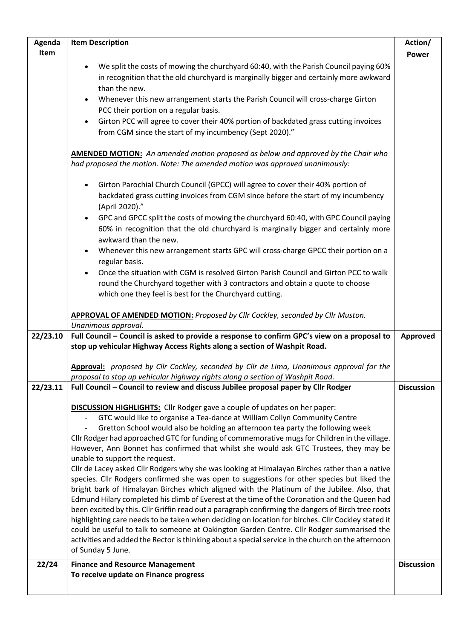| Agenda<br><b>Item Description</b>                                                                                                                                                             | Action/           |
|-----------------------------------------------------------------------------------------------------------------------------------------------------------------------------------------------|-------------------|
| Item                                                                                                                                                                                          | <b>Power</b>      |
| We split the costs of mowing the churchyard 60:40, with the Parish Council paying 60%<br>$\bullet$                                                                                            |                   |
| in recognition that the old churchyard is marginally bigger and certainly more awkward                                                                                                        |                   |
| than the new.                                                                                                                                                                                 |                   |
| Whenever this new arrangement starts the Parish Council will cross-charge Girton                                                                                                              |                   |
| PCC their portion on a regular basis.                                                                                                                                                         |                   |
| Girton PCC will agree to cover their 40% portion of backdated grass cutting invoices<br>$\bullet$                                                                                             |                   |
| from CGM since the start of my incumbency (Sept 2020)."                                                                                                                                       |                   |
|                                                                                                                                                                                               |                   |
| <b>AMENDED MOTION:</b> An amended motion proposed as below and approved by the Chair who                                                                                                      |                   |
| had proposed the motion. Note: The amended motion was approved unanimously:                                                                                                                   |                   |
| Girton Parochial Church Council (GPCC) will agree to cover their 40% portion of<br>$\bullet$                                                                                                  |                   |
| backdated grass cutting invoices from CGM since before the start of my incumbency                                                                                                             |                   |
| (April 2020)."                                                                                                                                                                                |                   |
| GPC and GPCC split the costs of mowing the churchyard 60:40, with GPC Council paying<br>$\bullet$                                                                                             |                   |
| 60% in recognition that the old churchyard is marginally bigger and certainly more                                                                                                            |                   |
| awkward than the new.                                                                                                                                                                         |                   |
| Whenever this new arrangement starts GPC will cross-charge GPCC their portion on a<br>$\bullet$                                                                                               |                   |
| regular basis.                                                                                                                                                                                |                   |
| Once the situation with CGM is resolved Girton Parish Council and Girton PCC to walk                                                                                                          |                   |
| round the Churchyard together with 3 contractors and obtain a quote to choose                                                                                                                 |                   |
| which one they feel is best for the Churchyard cutting.                                                                                                                                       |                   |
|                                                                                                                                                                                               |                   |
| APPROVAL OF AMENDED MOTION: Proposed by Cllr Cockley, seconded by Cllr Muston.                                                                                                                |                   |
| Unanimous approval.                                                                                                                                                                           |                   |
| Full Council - Council is asked to provide a response to confirm GPC's view on a proposal to<br>22/23.10                                                                                      | Approved          |
| stop up vehicular Highway Access Rights along a section of Washpit Road.                                                                                                                      |                   |
| <b>Approval:</b> proposed by Cllr Cockley, seconded by Cllr de Lima, Unanimous approval for the                                                                                               |                   |
| proposal to stop up vehicular highway rights along a section of Washpit Road.                                                                                                                 |                   |
| Full Council - Council to review and discuss Jubilee proposal paper by Cllr Rodger<br>22/23.11                                                                                                | <b>Discussion</b> |
|                                                                                                                                                                                               |                   |
| <b>DISCUSSION HIGHLIGHTS:</b> Cllr Rodger gave a couple of updates on her paper:                                                                                                              |                   |
| GTC would like to organise a Tea-dance at William Collyn Community Centre                                                                                                                     |                   |
| Gretton School would also be holding an afternoon tea party the following week                                                                                                                |                   |
| Cllr Rodger had approached GTC for funding of commemorative mugs for Children in the village.                                                                                                 |                   |
| However, Ann Bonnet has confirmed that whilst she would ask GTC Trustees, they may be                                                                                                         |                   |
| unable to support the request.                                                                                                                                                                |                   |
| Cllr de Lacey asked Cllr Rodgers why she was looking at Himalayan Birches rather than a native<br>species. Cllr Rodgers confirmed she was open to suggestions for other species but liked the |                   |
| bright bark of Himalayan Birches which aligned with the Platinum of the Jubilee. Also, that                                                                                                   |                   |
| Edmund Hilary completed his climb of Everest at the time of the Coronation and the Queen had                                                                                                  |                   |
| been excited by this. Cllr Griffin read out a paragraph confirming the dangers of Birch tree roots                                                                                            |                   |
| highlighting care needs to be taken when deciding on location for birches. Cllr Cockley stated it                                                                                             |                   |
| could be useful to talk to someone at Oakington Garden Centre. Cllr Rodger summarised the                                                                                                     |                   |
| activities and added the Rector is thinking about a special service in the church on the afternoon                                                                                            |                   |
| of Sunday 5 June.                                                                                                                                                                             |                   |
| 22/24<br><b>Finance and Resource Management</b>                                                                                                                                               | <b>Discussion</b> |
| To receive update on Finance progress                                                                                                                                                         |                   |
|                                                                                                                                                                                               |                   |